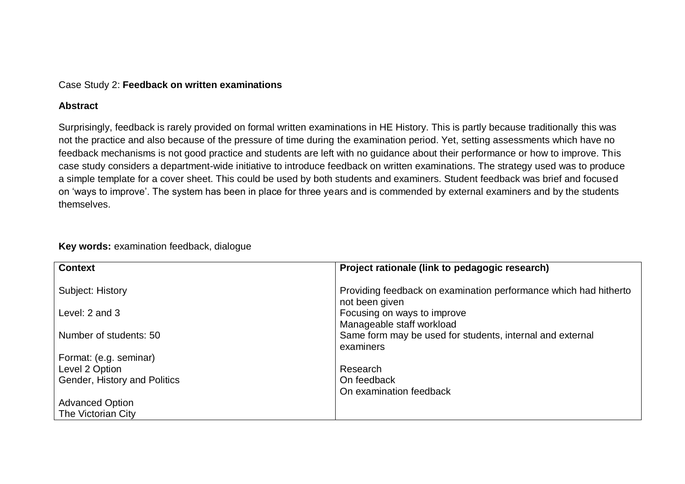### Case Study 2: **Feedback on written examinations**

#### **Abstract**

Surprisingly, feedback is rarely provided on formal written examinations in HE History. This is partly because traditionally this was not the practice and also because of the pressure of time during the examination period. Yet, setting assessments which have no feedback mechanisms is not good practice and students are left with no guidance about their performance or how to improve. This case study considers a department-wide initiative to introduce feedback on written examinations. The strategy used was to produce a simple template for a cover sheet. This could be used by both students and examiners. Student feedback was brief and focused on 'ways to improve'. The system has been in place for three years and is commended by external examiners and by the students themselves.

| <b>Context</b>               | Project rationale (link to pedagogic research)                                     |
|------------------------------|------------------------------------------------------------------------------------|
| Subject: History             | Providing feedback on examination performance which had hitherto<br>not been given |
| Level: 2 and 3               | Focusing on ways to improve                                                        |
|                              | Manageable staff workload                                                          |
| Number of students: 50       | Same form may be used for students, internal and external                          |
|                              | examiners                                                                          |
| Format: (e.g. seminar)       |                                                                                    |
| Level 2 Option               | Research                                                                           |
| Gender, History and Politics | On feedback                                                                        |
|                              | On examination feedback                                                            |
| <b>Advanced Option</b>       |                                                                                    |
| The Victorian City           |                                                                                    |

## **Key words:** examination feedback, dialogue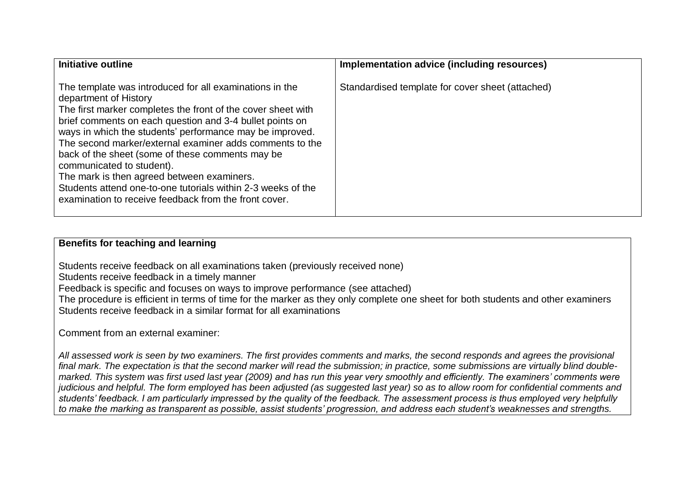| Initiative outline                                                                                                                                                                                                                                                                                                                                                                                                                                                                                                                                                                           | Implementation advice (including resources)      |
|----------------------------------------------------------------------------------------------------------------------------------------------------------------------------------------------------------------------------------------------------------------------------------------------------------------------------------------------------------------------------------------------------------------------------------------------------------------------------------------------------------------------------------------------------------------------------------------------|--------------------------------------------------|
| The template was introduced for all examinations in the<br>department of History<br>The first marker completes the front of the cover sheet with<br>brief comments on each question and 3-4 bullet points on<br>ways in which the students' performance may be improved.<br>The second marker/external examiner adds comments to the<br>back of the sheet (some of these comments may be<br>communicated to student).<br>The mark is then agreed between examiners.<br>Students attend one-to-one tutorials within 2-3 weeks of the<br>examination to receive feedback from the front cover. | Standardised template for cover sheet (attached) |

# **Benefits for teaching and learning**

Students receive feedback on all examinations taken (previously received none)

Students receive feedback in a timely manner

Feedback is specific and focuses on ways to improve performance (see attached)

The procedure is efficient in terms of time for the marker as they only complete one sheet for both students and other examiners Students receive feedback in a similar format for all examinations

Comment from an external examiner:

*All assessed work is seen by two examiners. The first provides comments and marks, the second responds and agrees the provisional final mark. The expectation is that the second marker will read the submission; in practice, some submissions are virtually blind doublemarked. This system was first used last year (2009) and has run this year very smoothly and efficiently. The examiners' comments were judicious and helpful. The form employed has been adjusted (as suggested last year) so as to allow room for confidential comments and students' feedback. I am particularly impressed by the quality of the feedback. The assessment process is thus employed very helpfully to make the marking as transparent as possible, assist students' progression, and address each student's weaknesses and strengths.*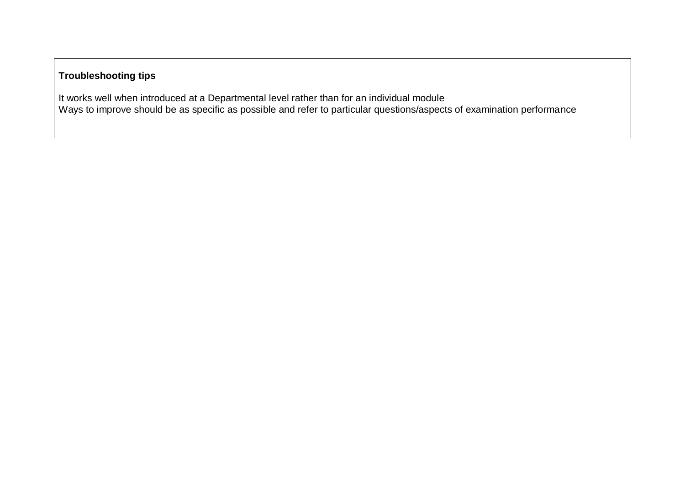# **Troubleshooting tips**

It works well when introduced at a Departmental level rather than for an individual module Ways to improve should be as specific as possible and refer to particular questions/aspects of examination performance